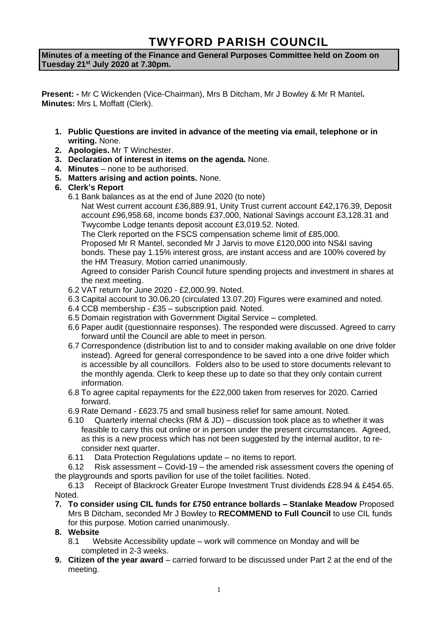# **TWYFORD PARISH COUNCIL**

**Minutes of a meeting of the Finance and General Purposes Committee held on Zoom on Tuesday 21st July 2020 at 7.30pm.**

**Present: -** Mr C Wickenden (Vice-Chairman), Mrs B Ditcham, Mr J Bowley & Mr R Mantel**. Minutes:** Mrs L Moffatt (Clerk).

- **1. Public Questions are invited in advance of the meeting via email, telephone or in writing.** None.
- **2. Apologies.** Mr T Winchester.
- **3. Declaration of interest in items on the agenda.** None.
- **4. Minutes**  none to be authorised.
- **5. Matters arising and action points.** None.
- **6. Clerk's Report**
	- 6.1 Bank balances as at the end of June 2020 (to note)

Nat West current account £36,889.91, Unity Trust current account £42,176.39, Deposit account £96,958.68, income bonds £37,000, National Savings account £3,128.31 and Twycombe Lodge tenants deposit account £3,019.52. Noted.

The Clerk reported on the FSCS compensation scheme limit of £85,000.

Proposed Mr R Mantel, seconded Mr J Jarvis to move £120,000 into NS&I saving bonds. These pay 1.15% interest gross, are instant access and are 100% covered by the HM Treasury. Motion carried unanimously.

Agreed to consider Parish Council future spending projects and investment in shares at the next meeting.

- 6.2 VAT return for June 2020 £2,000.99. Noted.
- 6.3 Capital account to 30.06.20 (circulated 13.07.20) Figures were examined and noted.
- 6.4 CCB membership £35 subscription paid. Noted.
- 6.5 Domain registration with Government Digital Service completed.
- 6.6 Paper audit (questionnaire responses). The responded were discussed. Agreed to carry forward until the Council are able to meet in person.
- 6.7 Correspondence (distribution list to and to consider making available on one drive folder instead). Agreed for general correspondence to be saved into a one drive folder which is accessible by all councillors. Folders also to be used to store documents relevant to the monthly agenda. Clerk to keep these up to date so that they only contain current information.
- 6.8 To agree capital repayments for the £22,000 taken from reserves for 2020. Carried forward.
- 6.9 Rate Demand £623.75 and small business relief for same amount. Noted.
- 6.10 Quarterly internal checks (RM & JD) discussion took place as to whether it was feasible to carry this out online or in person under the present circumstances. Agreed, as this is a new process which has not been suggested by the internal auditor, to reconsider next quarter.
- 6.11 Data Protection Regulations update no items to report.
- 6.12 Risk assessment Covid-19 the amended risk assessment covers the opening of the playgrounds and sports pavilion for use of the toilet facilities. Noted.

6.13 Receipt of Blackrock Greater Europe Investment Trust dividends £28.94 & £454.65. Noted.

**7. To consider using CIL funds for £750 entrance bollards – Stanlake Meadow** Proposed Mrs B Ditcham, seconded Mr J Bowley to **RECOMMEND to Full Council** to use CIL funds for this purpose. Motion carried unanimously.

## **8. Website**

- 8.1 Website Accessibility update work will commence on Monday and will be completed in 2-3 weeks.
- **9. Citizen of the year award** carried forward to be discussed under Part 2 at the end of the meeting.